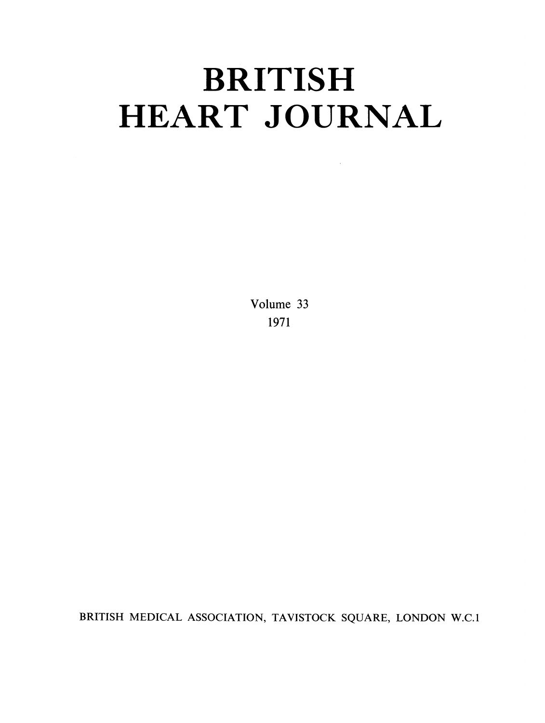# BRITISH HEART JOURNAL

 $\mathcal{L}^{\pm}$ 

Volume 33 1971

BRITISH MEDICAL ASSOCIATION, TAVISTOCK SQUARE, LONDON W.C.1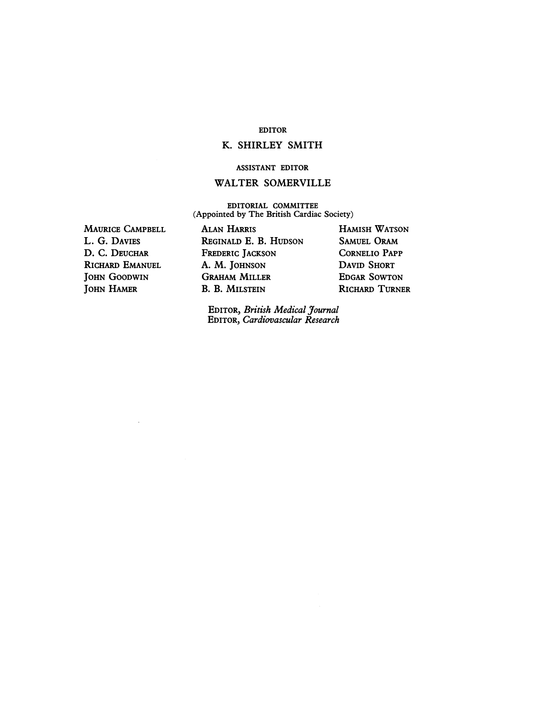## EDITOR

# K. SHIRLEY SMITH

## ASSISTANT EDITOR

## WALTER SOMERVILLE

EDITORIAL COMMITTEE (Appointed by The British Cardiac Society)

MAURICE CAMPBELL L. G. DAVIES D. C. DEUCHAR RICHARD EMANUEL JOHN GOODWIN JOHN HAMER

ALAN HARRIS HAMISH WATSON<br>Reginald E. B. Hudson Samuel Oram REGINALD E. B. HUDSON SAMUEL ORAM<br>FREDERIC LACKSON CORNELIO PAPP FREDERIC JACKSON CORNELIO PAPP A. M. JOHNSON GRAHAM MILLER EDGAR SOWTON B. B. MILSTEIN RICHARD TURNER

EDITOR, British Medical Journal EDITOR, Cardiovascular Research